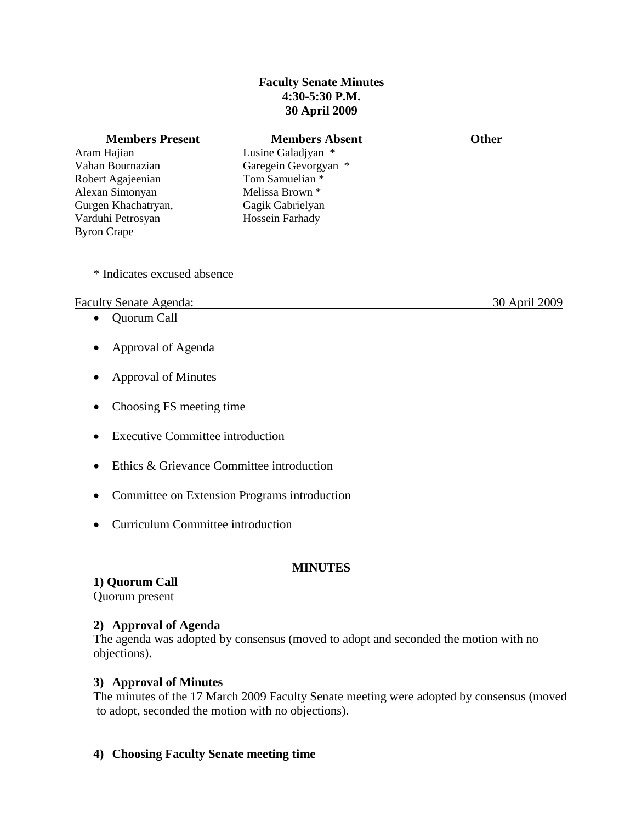## **Faculty Senate Minutes 4:30-5:30 P.M. 30 April 2009**

### **Members Present Members Absent Communist Communist Communist Communist Communist Communist Communist Communist Communist Communist Communist Communist Communist Communist Communist Communist Communist Communist Communist**

Aram Hajian Vahan Bournazian Robert Agajeenian Alexan Simonyan Gurgen Khachatryan, Varduhi Petrosyan Byron Crape

Lusine Galadjyan \* Garegein Gevorgyan \* Tom Samuelian \* Melissa Brown \* Gagik Gabrielyan Hossein Farhady

\* Indicates excused absence

### Faculty Senate Agenda: 30 April 2009

- Quorum Call
- Approval of Agenda
- Approval of Minutes
- Choosing FS meeting time
- Executive Committee introduction
- Ethics & Grievance Committee introduction
- Committee on Extension Programs introduction
- Curriculum Committee introduction

### **MINUTES**

**1) Quorum Call** Quorum present

### **2) Approval of Agenda**

 The agenda was adopted by consensus (moved to adopt and seconded the motion with no objections).

### **3) Approval of Minutes**

The minutes of the 17 March 2009 Faculty Senate meeting were adopted by consensus (moved to adopt, seconded the motion with no objections).

**4) Choosing Faculty Senate meeting time**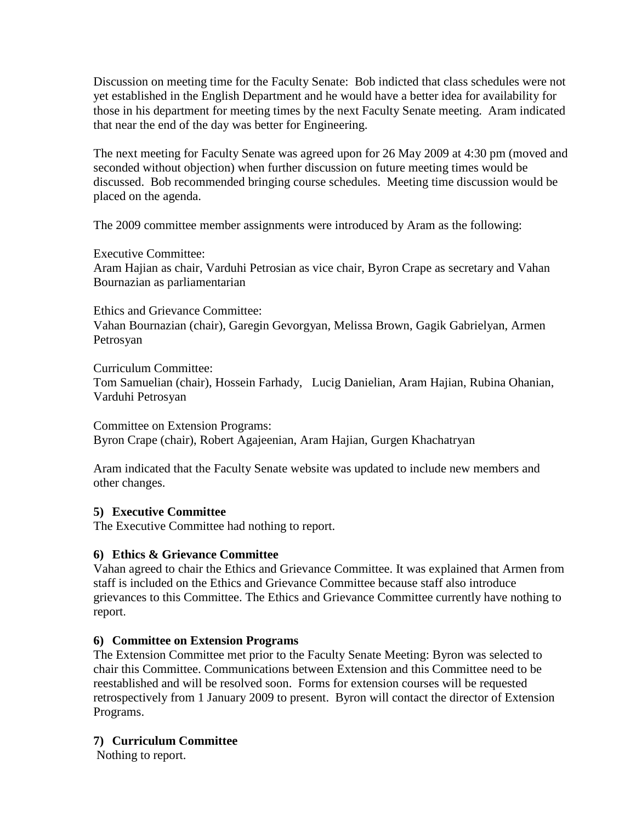Discussion on meeting time for the Faculty Senate: Bob indicted that class schedules were not yet established in the English Department and he would have a better idea for availability for those in his department for meeting times by the next Faculty Senate meeting. Aram indicated that near the end of the day was better for Engineering.

 The next meeting for Faculty Senate was agreed upon for 26 May 2009 at 4:30 pm (moved and seconded without objection) when further discussion on future meeting times would be discussed. Bob recommended bringing course schedules. Meeting time discussion would be placed on the agenda.

The 2009 committee member assignments were introduced by Aram as the following:

Executive Committee:

 Aram Hajian as chair, Varduhi Petrosian as vice chair, Byron Crape as secretary and Vahan Bournazian as parliamentarian

Ethics and Grievance Committee: Vahan Bournazian (chair), Garegin Gevorgyan, Melissa Brown, Gagik Gabrielyan, Armen Petrosyan

Curriculum Committee: Tom Samuelian (chair), Hossein Farhady, Lucig Danielian, Aram Hajian, Rubina Ohanian, Varduhi Petrosyan

Committee on Extension Programs: Byron Crape (chair), Robert Agajeenian, Aram Hajian, Gurgen Khachatryan

Aram indicated that the Faculty Senate website was updated to include new members and other changes.

# **5) Executive Committee**

The Executive Committee had nothing to report.

# **6) Ethics & Grievance Committee**

Vahan agreed to chair the Ethics and Grievance Committee. It was explained that Armen from staff is included on the Ethics and Grievance Committee because staff also introduce grievances to this Committee. The Ethics and Grievance Committee currently have nothing to report.

# **6) Committee on Extension Programs**

The Extension Committee met prior to the Faculty Senate Meeting: Byron was selected to chair this Committee. Communications between Extension and this Committee need to be reestablished and will be resolved soon. Forms for extension courses will be requested retrospectively from 1 January 2009 to present. Byron will contact the director of Extension Programs.

# **7) Curriculum Committee**

Nothing to report.